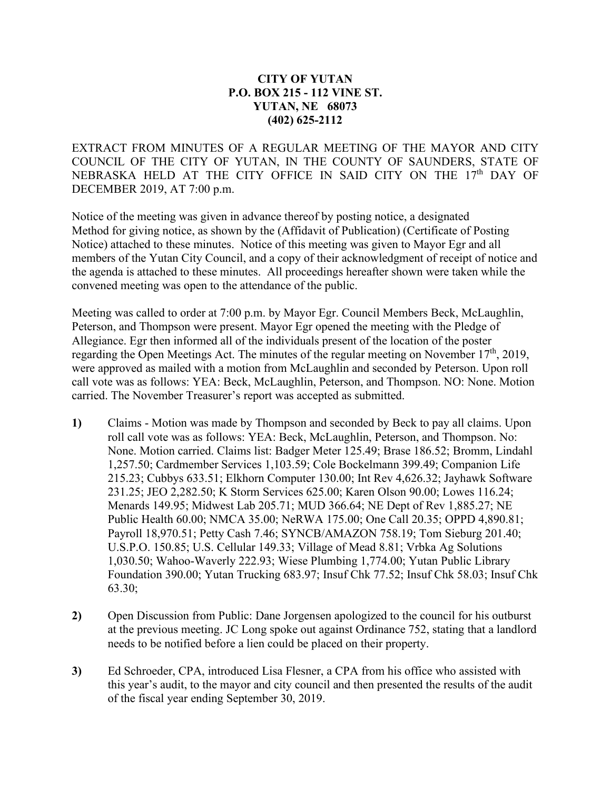## **CITY OF YUTAN P.O. BOX 215 - 112 VINE ST. YUTAN, NE 68073 (402) 625-2112**

EXTRACT FROM MINUTES OF A REGULAR MEETING OF THE MAYOR AND CITY COUNCIL OF THE CITY OF YUTAN, IN THE COUNTY OF SAUNDERS, STATE OF NEBRASKA HELD AT THE CITY OFFICE IN SAID CITY ON THE 17<sup>th</sup> DAY OF DECEMBER 2019, AT 7:00 p.m.

Notice of the meeting was given in advance thereof by posting notice, a designated Method for giving notice, as shown by the (Affidavit of Publication) (Certificate of Posting Notice) attached to these minutes. Notice of this meeting was given to Mayor Egr and all members of the Yutan City Council, and a copy of their acknowledgment of receipt of notice and the agenda is attached to these minutes. All proceedings hereafter shown were taken while the convened meeting was open to the attendance of the public.

Meeting was called to order at 7:00 p.m. by Mayor Egr. Council Members Beck, McLaughlin, Peterson, and Thompson were present. Mayor Egr opened the meeting with the Pledge of Allegiance. Egr then informed all of the individuals present of the location of the poster regarding the Open Meetings Act. The minutes of the regular meeting on November 17<sup>th</sup>, 2019, were approved as mailed with a motion from McLaughlin and seconded by Peterson. Upon roll call vote was as follows: YEA: Beck, McLaughlin, Peterson, and Thompson. NO: None. Motion carried. The November Treasurer's report was accepted as submitted.

- **1)** Claims Motion was made by Thompson and seconded by Beck to pay all claims. Upon roll call vote was as follows: YEA: Beck, McLaughlin, Peterson, and Thompson. No: None. Motion carried. Claims list: Badger Meter 125.49; Brase 186.52; Bromm, Lindahl 1,257.50; Cardmember Services 1,103.59; Cole Bockelmann 399.49; Companion Life 215.23; Cubbys 633.51; Elkhorn Computer 130.00; Int Rev 4,626.32; Jayhawk Software 231.25; JEO 2,282.50; K Storm Services 625.00; Karen Olson 90.00; Lowes 116.24; Menards 149.95; Midwest Lab 205.71; MUD 366.64; NE Dept of Rev 1,885.27; NE Public Health 60.00; NMCA 35.00; NeRWA 175.00; One Call 20.35; OPPD 4,890.81; Payroll 18,970.51; Petty Cash 7.46; SYNCB/AMAZON 758.19; Tom Sieburg 201.40; U.S.P.O. 150.85; U.S. Cellular 149.33; Village of Mead 8.81; Vrbka Ag Solutions 1,030.50; Wahoo-Waverly 222.93; Wiese Plumbing 1,774.00; Yutan Public Library Foundation 390.00; Yutan Trucking 683.97; Insuf Chk 77.52; Insuf Chk 58.03; Insuf Chk 63.30;
- **2)** Open Discussion from Public: Dane Jorgensen apologized to the council for his outburst at the previous meeting. JC Long spoke out against Ordinance 752, stating that a landlord needs to be notified before a lien could be placed on their property.
- **3)** Ed Schroeder, CPA, introduced Lisa Flesner, a CPA from his office who assisted with this year's audit, to the mayor and city council and then presented the results of the audit of the fiscal year ending September 30, 2019.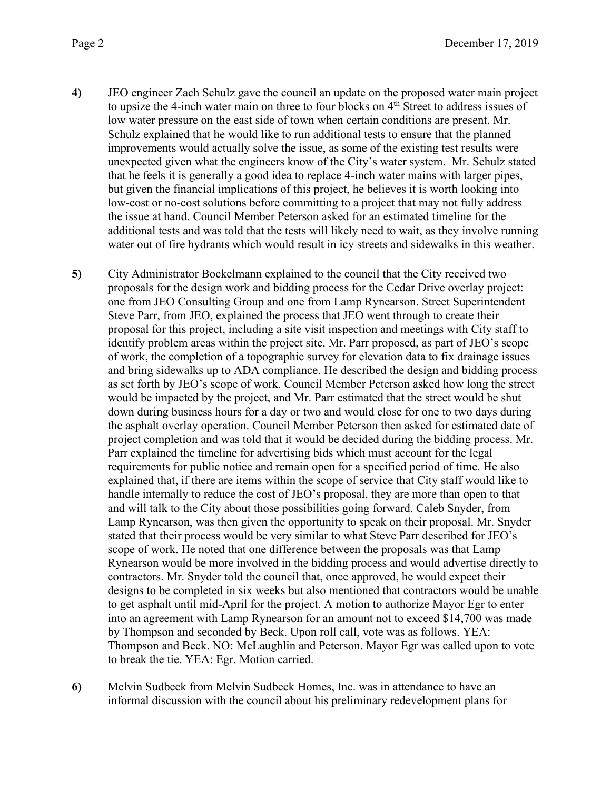- **4)** JEO engineer Zach Schulz gave the council an update on the proposed water main project to upsize the 4-inch water main on three to four blocks on  $4<sup>th</sup>$  Street to address issues of low water pressure on the east side of town when certain conditions are present. Mr. Schulz explained that he would like to run additional tests to ensure that the planned improvements would actually solve the issue, as some of the existing test results were unexpected given what the engineers know of the City's water system. Mr. Schulz stated that he feels it is generally a good idea to replace 4-inch water mains with larger pipes, but given the financial implications of this project, he believes it is worth looking into low-cost or no-cost solutions before committing to a project that may not fully address the issue at hand. Council Member Peterson asked for an estimated timeline for the additional tests and was told that the tests will likely need to wait, as they involve running water out of fire hydrants which would result in icy streets and sidewalks in this weather.
- **5)** City Administrator Bockelmann explained to the council that the City received two proposals for the design work and bidding process for the Cedar Drive overlay project: one from JEO Consulting Group and one from Lamp Rynearson. Street Superintendent Steve Parr, from JEO, explained the process that JEO went through to create their proposal for this project, including a site visit inspection and meetings with City staff to identify problem areas within the project site. Mr. Parr proposed, as part of JEO's scope of work, the completion of a topographic survey for elevation data to fix drainage issues and bring sidewalks up to ADA compliance. He described the design and bidding process as set forth by JEO's scope of work. Council Member Peterson asked how long the street would be impacted by the project, and Mr. Parr estimated that the street would be shut down during business hours for a day or two and would close for one to two days during the asphalt overlay operation. Council Member Peterson then asked for estimated date of project completion and was told that it would be decided during the bidding process. Mr. Parr explained the timeline for advertising bids which must account for the legal requirements for public notice and remain open for a specified period of time. He also explained that, if there are items within the scope of service that City staff would like to handle internally to reduce the cost of JEO's proposal, they are more than open to that and will talk to the City about those possibilities going forward. Caleb Snyder, from Lamp Rynearson, was then given the opportunity to speak on their proposal. Mr. Snyder stated that their process would be very similar to what Steve Parr described for JEO's scope of work. He noted that one difference between the proposals was that Lamp Rynearson would be more involved in the bidding process and would advertise directly to contractors. Mr. Snyder told the council that, once approved, he would expect their designs to be completed in six weeks but also mentioned that contractors would be unable to get asphalt until mid-April for the project. A motion to authorize Mayor Egr to enter into an agreement with Lamp Rynearson for an amount not to exceed \$14,700 was made by Thompson and seconded by Beck. Upon roll call, vote was as follows. YEA: Thompson and Beck. NO: McLaughlin and Peterson. Mayor Egr was called upon to vote to break the tie. YEA: Egr. Motion carried.
- **6)** Melvin Sudbeck from Melvin Sudbeck Homes, Inc. was in attendance to have an informal discussion with the council about his preliminary redevelopment plans for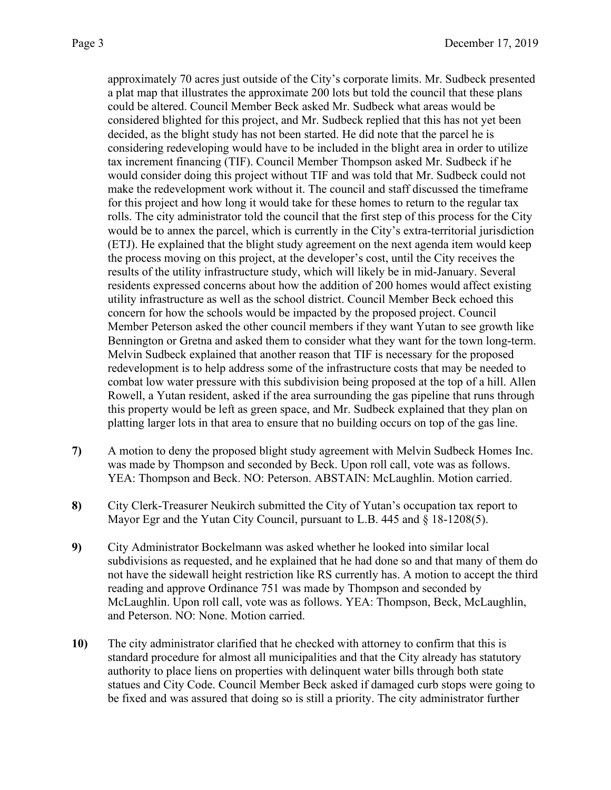approximately 70 acres just outside of the City's corporate limits. Mr. Sudbeck presented a plat map that illustrates the approximate 200 lots but told the council that these plans could be altered. Council Member Beck asked Mr. Sudbeck what areas would be considered blighted for this project, and Mr. Sudbeck replied that this has not yet been decided, as the blight study has not been started. He did note that the parcel he is considering redeveloping would have to be included in the blight area in order to utilize tax increment financing (TIF). Council Member Thompson asked Mr. Sudbeck if he would consider doing this project without TIF and was told that Mr. Sudbeck could not make the redevelopment work without it. The council and staff discussed the timeframe for this project and how long it would take for these homes to return to the regular tax rolls. The city administrator told the council that the first step of this process for the City would be to annex the parcel, which is currently in the City's extra-territorial jurisdiction (ETJ). He explained that the blight study agreement on the next agenda item would keep the process moving on this project, at the developer's cost, until the City receives the results of the utility infrastructure study, which will likely be in mid-January. Several residents expressed concerns about how the addition of 200 homes would affect existing utility infrastructure as well as the school district. Council Member Beck echoed this concern for how the schools would be impacted by the proposed project. Council Member Peterson asked the other council members if they want Yutan to see growth like Bennington or Gretna and asked them to consider what they want for the town long-term. Melvin Sudbeck explained that another reason that TIF is necessary for the proposed redevelopment is to help address some of the infrastructure costs that may be needed to combat low water pressure with this subdivision being proposed at the top of a hill. Allen Rowell, a Yutan resident, asked if the area surrounding the gas pipeline that runs through this property would be left as green space, and Mr. Sudbeck explained that they plan on platting larger lots in that area to ensure that no building occurs on top of the gas line.

- **7)** A motion to deny the proposed blight study agreement with Melvin Sudbeck Homes Inc. was made by Thompson and seconded by Beck. Upon roll call, vote was as follows. YEA: Thompson and Beck. NO: Peterson. ABSTAIN: McLaughlin. Motion carried.
- **8)** City Clerk-Treasurer Neukirch submitted the City of Yutan's occupation tax report to Mayor Egr and the Yutan City Council, pursuant to L.B. 445 and § 18-1208(5).
- **9)** City Administrator Bockelmann was asked whether he looked into similar local subdivisions as requested, and he explained that he had done so and that many of them do not have the sidewall height restriction like RS currently has. A motion to accept the third reading and approve Ordinance 751 was made by Thompson and seconded by McLaughlin. Upon roll call, vote was as follows. YEA: Thompson, Beck, McLaughlin, and Peterson. NO: None. Motion carried.
- **10)** The city administrator clarified that he checked with attorney to confirm that this is standard procedure for almost all municipalities and that the City already has statutory authority to place liens on properties with delinquent water bills through both state statues and City Code. Council Member Beck asked if damaged curb stops were going to be fixed and was assured that doing so is still a priority. The city administrator further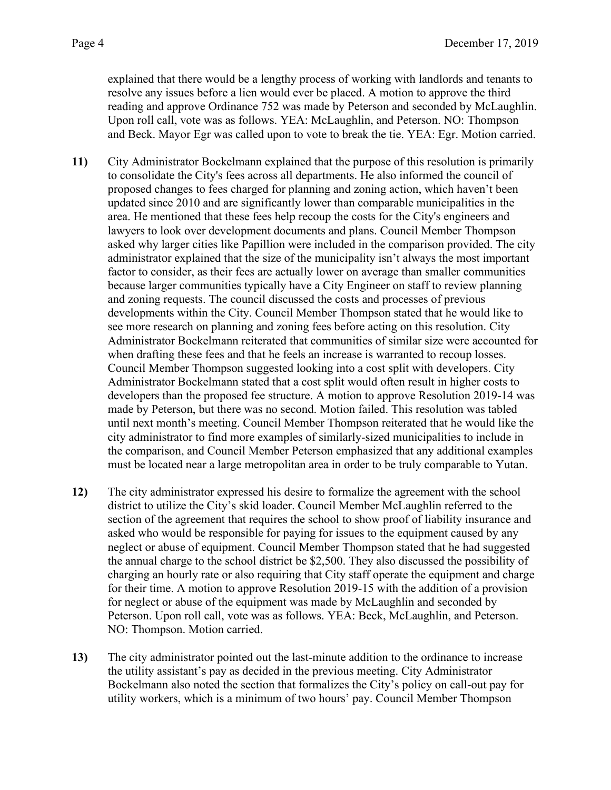explained that there would be a lengthy process of working with landlords and tenants to resolve any issues before a lien would ever be placed. A motion to approve the third reading and approve Ordinance 752 was made by Peterson and seconded by McLaughlin. Upon roll call, vote was as follows. YEA: McLaughlin, and Peterson. NO: Thompson and Beck. Mayor Egr was called upon to vote to break the tie. YEA: Egr. Motion carried.

- **11)** City Administrator Bockelmann explained that the purpose of this resolution is primarily to consolidate the City's fees across all departments. He also informed the council of proposed changes to fees charged for planning and zoning action, which haven't been updated since 2010 and are significantly lower than comparable municipalities in the area. He mentioned that these fees help recoup the costs for the City's engineers and lawyers to look over development documents and plans. Council Member Thompson asked why larger cities like Papillion were included in the comparison provided. The city administrator explained that the size of the municipality isn't always the most important factor to consider, as their fees are actually lower on average than smaller communities because larger communities typically have a City Engineer on staff to review planning and zoning requests. The council discussed the costs and processes of previous developments within the City. Council Member Thompson stated that he would like to see more research on planning and zoning fees before acting on this resolution. City Administrator Bockelmann reiterated that communities of similar size were accounted for when drafting these fees and that he feels an increase is warranted to recoup losses. Council Member Thompson suggested looking into a cost split with developers. City Administrator Bockelmann stated that a cost split would often result in higher costs to developers than the proposed fee structure. A motion to approve Resolution 2019-14 was made by Peterson, but there was no second. Motion failed. This resolution was tabled until next month's meeting. Council Member Thompson reiterated that he would like the city administrator to find more examples of similarly-sized municipalities to include in the comparison, and Council Member Peterson emphasized that any additional examples must be located near a large metropolitan area in order to be truly comparable to Yutan.
- **12)** The city administrator expressed his desire to formalize the agreement with the school district to utilize the City's skid loader. Council Member McLaughlin referred to the section of the agreement that requires the school to show proof of liability insurance and asked who would be responsible for paying for issues to the equipment caused by any neglect or abuse of equipment. Council Member Thompson stated that he had suggested the annual charge to the school district be \$2,500. They also discussed the possibility of charging an hourly rate or also requiring that City staff operate the equipment and charge for their time. A motion to approve Resolution 2019-15 with the addition of a provision for neglect or abuse of the equipment was made by McLaughlin and seconded by Peterson. Upon roll call, vote was as follows. YEA: Beck, McLaughlin, and Peterson. NO: Thompson. Motion carried.
- **13)** The city administrator pointed out the last-minute addition to the ordinance to increase the utility assistant's pay as decided in the previous meeting. City Administrator Bockelmann also noted the section that formalizes the City's policy on call-out pay for utility workers, which is a minimum of two hours' pay. Council Member Thompson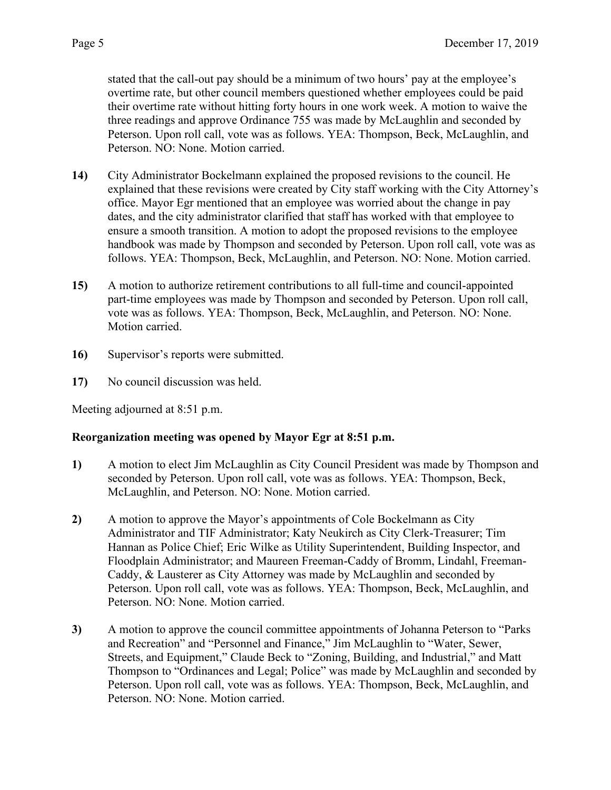stated that the call-out pay should be a minimum of two hours' pay at the employee's overtime rate, but other council members questioned whether employees could be paid their overtime rate without hitting forty hours in one work week. A motion to waive the three readings and approve Ordinance 755 was made by McLaughlin and seconded by Peterson. Upon roll call, vote was as follows. YEA: Thompson, Beck, McLaughlin, and Peterson. NO: None. Motion carried.

- **14)** City Administrator Bockelmann explained the proposed revisions to the council. He explained that these revisions were created by City staff working with the City Attorney's office. Mayor Egr mentioned that an employee was worried about the change in pay dates, and the city administrator clarified that staff has worked with that employee to ensure a smooth transition. A motion to adopt the proposed revisions to the employee handbook was made by Thompson and seconded by Peterson. Upon roll call, vote was as follows. YEA: Thompson, Beck, McLaughlin, and Peterson. NO: None. Motion carried.
- **15)** A motion to authorize retirement contributions to all full-time and council-appointed part-time employees was made by Thompson and seconded by Peterson. Upon roll call, vote was as follows. YEA: Thompson, Beck, McLaughlin, and Peterson. NO: None. Motion carried.
- **16)** Supervisor's reports were submitted.
- **17)** No council discussion was held.

Meeting adjourned at 8:51 p.m.

## **Reorganization meeting was opened by Mayor Egr at 8:51 p.m.**

- **1)** A motion to elect Jim McLaughlin as City Council President was made by Thompson and seconded by Peterson. Upon roll call, vote was as follows. YEA: Thompson, Beck, McLaughlin, and Peterson. NO: None. Motion carried.
- **2)** A motion to approve the Mayor's appointments of Cole Bockelmann as City Administrator and TIF Administrator; Katy Neukirch as City Clerk-Treasurer; Tim Hannan as Police Chief; Eric Wilke as Utility Superintendent, Building Inspector, and Floodplain Administrator; and Maureen Freeman-Caddy of Bromm, Lindahl, Freeman-Caddy, & Lausterer as City Attorney was made by McLaughlin and seconded by Peterson. Upon roll call, vote was as follows. YEA: Thompson, Beck, McLaughlin, and Peterson. NO: None. Motion carried.
- **3)** A motion to approve the council committee appointments of Johanna Peterson to "Parks and Recreation" and "Personnel and Finance," Jim McLaughlin to "Water, Sewer, Streets, and Equipment," Claude Beck to "Zoning, Building, and Industrial," and Matt Thompson to "Ordinances and Legal; Police" was made by McLaughlin and seconded by Peterson. Upon roll call, vote was as follows. YEA: Thompson, Beck, McLaughlin, and Peterson. NO: None. Motion carried.